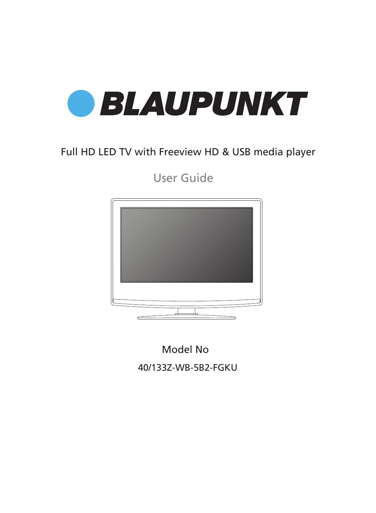

## Full HD LED TV with Freeview HD & USB media player

User Guide



Model No 40/133Z-WB-5B2-FGKU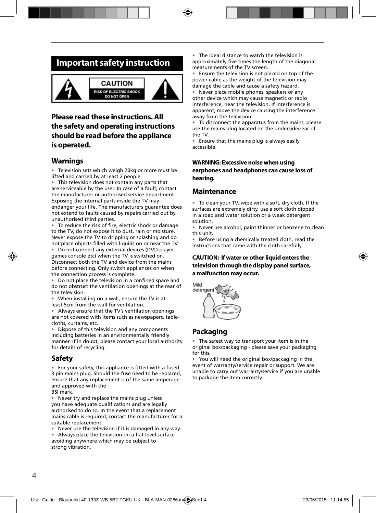## **Important safety instruction**



### **Please read these instructions. All the safety and operating instructions should be read before the appliance is operated.**

### **Warnings**

• Television sets which weigh 20kg or more must be lifted and carried by at least 2 people.

• This television does not contain any parts that are serviceable by the user. In case of a fault, contact the manufacturer or authorised service department. Exposing the internal parts inside the TV may endanger your life. The manufacturers guarantee does not extend to faults caused by repairs carried out by unauthorised third parties.

To reduce the risk of fire, electric shock or damage to the TV, do not expose it to dust, rain or moisture. Never expose the TV to dripping or splashing and do not place objects filled with liquids on or near the TV.

• Do not connect any external devices (DVD player, games console etc) when the TV is switched on. Disconnect both the TV and device from the mains before connecting. Only switch appliances on when the connection process is complete.

Do not place the television in a confined space and do not obstruct the ventilation openings at the rear of the television.

When installing on a wall, ensure the TV is at least 5cm from the wall for ventilation.

• Always ensure that the TV's ventilation openings are not covered with items such as newspapers, tablecloths, curtains, etc.

Dispose of this television and any components including batteries in an environmentally friendly manner. If in doubt, please contact your local authority for details of recycling.

### **Safety**

• For your safety, this appliance is fitted with a fused 3 pin mains plug. Should the fuse need to be replaced, ensure that any replacement is of the same amperage and approved with the

BSI mark.

• Never try and replace the mains plug unless you have adequate qualifications and are legally authorised to do so. In the event that a replacement mains cable is required, contact the manufacturer for a suitable replacement.

• Never use the television if it is damaged in any way.

Always place the television on a flat level surface avoiding anywhere which may be subject to strong vibration.

• The ideal distance to watch the television is approximately five times the length of the diagonal measurements of the TV screen.

Ensure the television is not placed on top of the power cable as the weight of the television may damage the cable and cause a safety hazard.

• Never place mobile phones, speakers or any other device which may cause magnetic or radio interference, near the television. If interference is apparent, move the device causing the interference away from the television.

• To disconnect the apparatus from the mains, please use the mains plug located on the underside/rear of the TV.

• Ensure that the mains plug is always easily accessible.

#### **WARNING: Excessive noise when using earphones and headphones can cause loss of hearing.**

### **Maintenance**

• To clean your TV, wipe with a soft, dry cloth. If the surfaces are extremely dirty, use a soft cloth dipped in a soap and water solution or a weak detergent solution.

• Never use alcohol, paint thinner or benzene to clean this unit.

• Before using a chemically treated cloth, read the instructions that came with the cloth carefully.

#### **CAUTION: If water or other liquid enters the television through the display panel surface, a malfunction may occur.**



### **Packaging**

The safest way to transport your item is in the original box/packaging - please save your packaging for this.

You will need the original box/packaging in the event of warranty/service repair or support. We are unable to carry out warranty/service if you are unable to package the item correctly.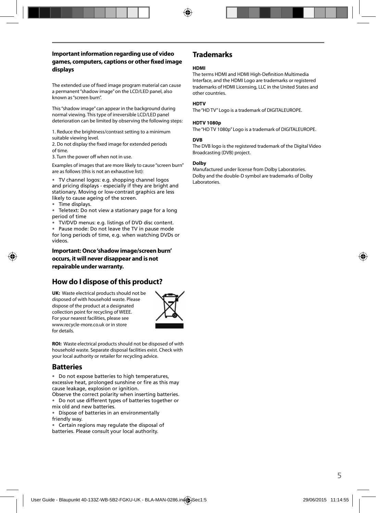#### **Important information regarding use of video games, computers, captions or other fi xed image displays**

The extended use of fixed image program material can cause a permanent "shadow image" on the LCD/LED panel, also known as "screen burn".

This "shadow image" can appear in the background during normal viewing. This type of irreversible LCD/LED panel deterioration can be limited by observing the following steps:

1. Reduce the brightness/contrast setting to a minimum suitable viewing level.

2. Do not display the fixed image for extended periods of time.

3. Turn the power off when not in use.

Examples of images that are more likely to cause "screen burn" are as follows (this is not an exhaustive list):

• TV channel logos: e.g. shopping channel logos and pricing displays - especially if they are bright and stationary. Moving or low-contrast graphics are less likely to cause ageing of the screen.

• Time displays.

• Teletext: Do not view a stationary page for a long period of time

• TV/DVD menus: e.g. listings of DVD disc content.

• Pause mode: Do not leave the TV in pause mode for long periods of time, e.g. when watching DVDs or videos.

**Important: Once 'shadow image/screen burn' occurs, it will never disappear and is not repairable under warranty.**

### **How do I dispose of this product?**

**UK:** Waste electrical products should not be disposed of with household waste. Please dispose of the product at a designated collection point for recycling of WEEE. For your nearest facilities, please see www.recycle-more.co.uk or in store for details.



**ROI:** Waste electrical products should not be disposed of with household waste. Separate disposal facilities exist. Check with your local authority or retailer for recycling advice.

### **Batteries**

• Do not expose batteries to high temperatures, excessive heat, prolonged sunshine or fire as this may cause leakage, explosion or ignition.

Observe the correct polarity when inserting batteries. • Do not use different types of batteries together or mix old and new batteries.

• Dispose of batteries in an environmentally friendly way.

• Certain regions may regulate the disposal of batteries. Please consult your local authority.

### **Trademarks**

#### **HDMI**

The terms HDMI and HDMI High-Definition Multimedia Interface, and the HDMI Logo are trademarks or registered trademarks of HDMI Licensing, LLC in the United States and other countries.

#### **HDTV**

The "HD TV" Logo is a trademark of DIGITALEUROPE.

#### **HDTV 1080p**

The "HD TV 1080p" Logo is a trademark of DIGITALEUROPE.

#### **DVB**

The DVB logo is the registered trademark of the Digital Video Broadcasting (DVB) project.

#### **Dolby**

Manufactured under license from Dolby Laboratories. Dolby and the double-D symbol are trademarks of Dolby Laboratories.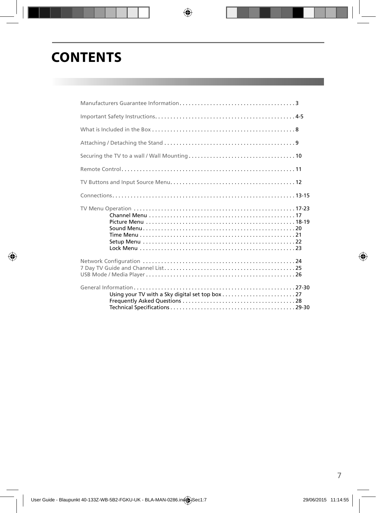# **CONTENTS**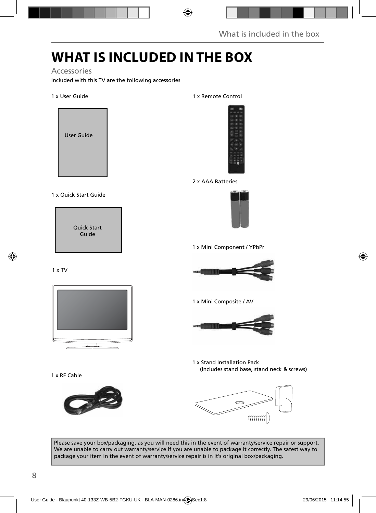## **WHAT IS INCLUDED IN THE BOX**

#### Accessories

Included with this TV are the following accessories

#### 1 x User Guide



#### 1 x Quick Start Guide

Quick Start Guide

#### 1 x TV



1 x RF Cable



#### 1 x Remote Control



#### 2 x AAA Batteries



1 x Mini Component / YPbPr



1 x Mini Composite / AV



1 x Stand Installation Pack (Includes stand base, stand neck & screws)



Please save your box/packaging. as you will need this in the event of warranty/service repair or support. We are unable to carry out warranty/service if you are unable to package it correctly. The safest way to package your item in the event of warranty/service repair is in it's original box/packaging.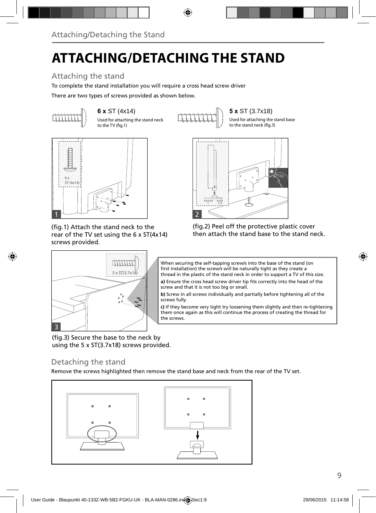# **ATTACHING/DETACHING THE STAND**

## Attaching the stand

To complete the stand installation you will require a cross head screw driver

There are two types of screws provided as shown below.



**6 x** ST (4x14) **5 x** ST (3.7x18) Used for attaching the stand neck to the TV (fig.1)

Used for attaching the stand base to the stand neck (fig.3)



(fig.1) Attach the stand neck to the rear of the TV set using the 6 x ST(4x14) screws provided.

5 x ST(3.7x18)

 $11111111$ 







a) Ensure the cross head screw driver tip fits correctly into the head of the screw and that it is not too big or small.

**b)** Screw in all screws individually and partially before tightening all of the screws fully.

**c)** If they become very tight try loosening them slightly and then re-tightening them once again as this will continue the process of creating the thread for the screws.

(fig.3) Secure the base to the neck by using the 5 x ST(3.7x18) screws provided.

### Detaching the stand

3

Remove the screws highlighted then remove the stand base and neck from the rear of the TV set.

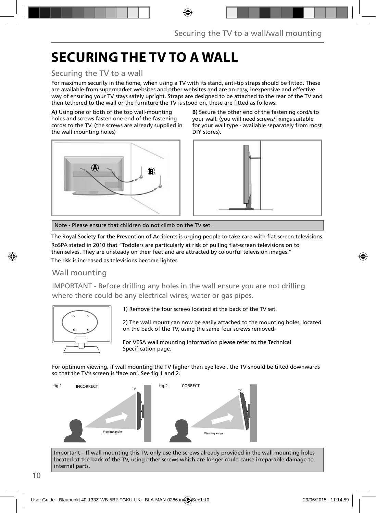## **SECURING THE TV TO A WALL**

### Securing the TV to a wall

For maximum security in the home, when using a TV with its stand, anti-tip straps should be fitted. These are available from supermarket websites and other websites and are an easy, inexpensive and effective way of ensuring your TV stays safely upright. Straps are designed to be attached to the rear of the TV and then tethered to the wall or the furniture the TV is stood on, these are fitted as follows.

**A)** Using one or both of the top wall-mounting holes and screws fasten one end of the fastening cord/s to the TV. (the screws are already supplied in the wall mounting holes)



**B)** Secure the other end of the fastening cord/s to your wall. (you will need screws/fixings suitable for your wall type - available separately from most DIY stores).



Note - Please ensure that children do not climb on the TV set.

The Royal Society for the Prevention of Accidents is urging people to take care with flat-screen televisions.

RoSPA stated in 2010 that "Toddlers are particularly at risk of pulling flat-screen televisions on to themselves. They are unsteady on their feet and are attracted by colourful television images."

The risk is increased as televisions become lighter.

### Wall mounting

IMPORTANT - Before drilling any holes in the wall ensure you are not drilling where there could be any electrical wires, water or gas pipes.



1) Remove the four screws located at the back of the TV set.

2) The wall mount can now be easily attached to the mounting holes, located on the back of the TV, using the same four screws removed.

For VESA wall mounting information please refer to the Technical Specification page.

For optimum viewing, if wall mounting the TV higher than eye level, the TV should be tilted downwards so that the TV's screen is 'face on'. See fig 1 and 2.



Important – If wall mounting this TV, only use the screws already provided in the wall mounting holes located at the back of the TV, using other screws which are longer could cause irreparable damage to internal parts.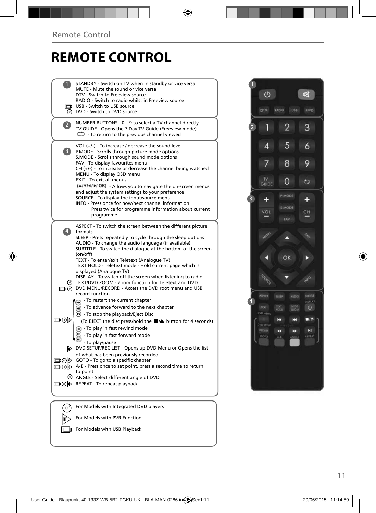## **REMOTE CONTROL**

|                         | STANDBY - Switch on TV when in standby or vice versa<br>MUTE - Mute the sound or vice versa<br>DTV - Switch to Freeview source<br>RADIO - Switch to radio whilst in Freeview source<br>USB - Switch to USB source<br>O DVD - Switch to DVD source                                                                                                                                                                                                                                                                                                                                                          |  |
|-------------------------|------------------------------------------------------------------------------------------------------------------------------------------------------------------------------------------------------------------------------------------------------------------------------------------------------------------------------------------------------------------------------------------------------------------------------------------------------------------------------------------------------------------------------------------------------------------------------------------------------------|--|
| $\mathbf{Z}$            | NUMBER BUTTONS - 0 - 9 to select a TV channel directly.<br>TV GUIDE - Opens the 7 Day TV Guide (Freeview mode)<br>$\mathbb{C}$ - To return to the previous channel viewed                                                                                                                                                                                                                                                                                                                                                                                                                                  |  |
| $\overline{\mathbf{3}}$ | VOL (+/-) - To increase / decrease the sound level<br>P.MODE - Scrolls through picture mode options<br>S.MODE - Scrolls through sound mode options<br>FAV - To display favourites menu<br>$CH (+/-)$ - To increase or decrease the channel being watched<br>MENU - To display OSD menu<br><b>EXIT - To exit all menus</b><br>(A/V/4/M/OK) - Allows you to navigate the on-screen menus<br>and adjust the system settings to your preference<br>SOURCE - To display the input/source menu<br>INFO - Press once for now/next channel information                                                             |  |
|                         | Press twice for programme information about current<br>programme                                                                                                                                                                                                                                                                                                                                                                                                                                                                                                                                           |  |
| $\ket{4}$               | ASPECT - To switch the screen between the different picture<br>formats<br>SLEEP - Press repeatedly to cycle through the sleep options<br>AUDIO - To change the audio language (if available)<br>SUBTITLE - To switch the dialogue at the bottom of the screen<br>(on/off)<br>TEXT - To enter/exit Teletext (Analogue TV)<br>TEXT HOLD - Teletext mode - Hold current page which is<br>displayed (Analogue TV)<br>DISPLAY - To switch off the screen when listening to radio<br>TEXT/DVD ZOOM - Zoom function for Teletext and DVD<br>DVD MENU/RECORD - Access the DVD root menu and USB<br>record function |  |
| ▭⊙▷                     | - To restart the current chapter<br>- To advance forward to the next chapter<br>(HH)<br>$\odot$ - To stop the playback/Eject Disc<br>(To EJECT the disc press/hold the ■▲ button for 4 seconds)<br>$\left( \mathbf{A} \right)$ - To play in fast rewind mode<br>- To play in fast forward mode<br>- To play/pause                                                                                                                                                                                                                                                                                          |  |
|                         | DVD SETUP/REC LIST - Opens up DVD Menu or Opens the list<br>of what has been previously recorded<br>$\Box \textcircled{b}$ GOTO - To go to a specific chapter<br>A-B - Press once to set point, press a second time to return<br>to point<br>© ANGLE - Select different angle of DVD<br>□ ⊙ ▶ REPEAT - To repeat playback                                                                                                                                                                                                                                                                                  |  |
|                         |                                                                                                                                                                                                                                                                                                                                                                                                                                                                                                                                                                                                            |  |
|                         | For Models with Integrated DVD players                                                                                                                                                                                                                                                                                                                                                                                                                                                                                                                                                                     |  |
|                         | For Models with PVR Function                                                                                                                                                                                                                                                                                                                                                                                                                                                                                                                                                                               |  |



For Models with USB Playback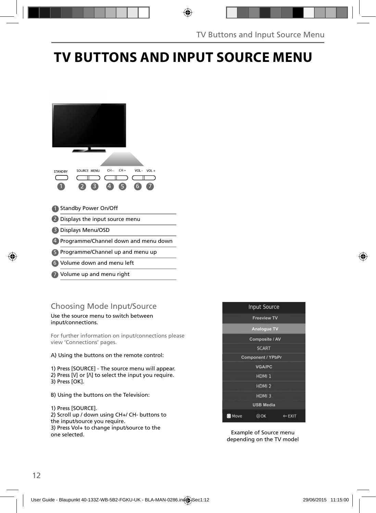## **TV BUTTONS AND INPUT SOURCE MENU**

| $CH +$<br>CH-<br>VOL-<br>$VOL +$<br>SOURCE MENU<br><b>STANDBY</b><br>6<br>4 |
|-----------------------------------------------------------------------------|
| <b>Standby Power On/Off</b>                                                 |
| Displays the input source menu                                              |
| Displays Menu/OSD                                                           |
| Programme/Channel down and menu down                                        |
| Programme/Channel up and menu up                                            |
|                                                                             |

- Volume down and menu left 6
- Volume up and menu right 7

## Choosing Mode Input/Source

#### Use the source menu to switch between input/connections.

For further information on input/connections please view 'Connections' pages.

#### A) Using the buttons on the remote control:

1) Press [SOURCE] - The source menu will appear. 2) Press [V] or [ $\Lambda$ ] to select the input you require. 3) Press [OK].

B) Using the buttons on the Television:

#### 1) Press [SOURCE]. 2) Scroll up / down using CH+/ CH- buttons to the input/source you require. 3) Press Vol+ to change input/source to the one selected.



Example of Source menu depending on the TV model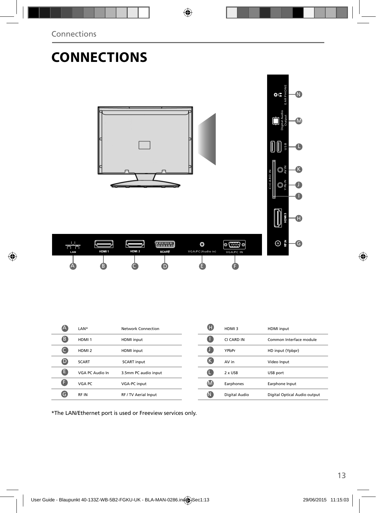## **CONNECTIONS**



| LAN. | HDM <sub>1</sub>         | HDMI <sub>2</sub> | <b>SCART</b> | VGA/PC(Audio in) | VGA/PC IN |  |
|------|--------------------------|-------------------|--------------|------------------|-----------|--|
|      |                          |                   |              |                  |           |  |
| Œ    | $\vert \mathbf{B} \vert$ |                   |              |                  |           |  |
|      |                          |                   |              |                  |           |  |
|      |                          |                   |              |                  |           |  |
|      |                          |                   |              |                  |           |  |

| A                | LAN*              | Network Connection   | Ð            | HDMI3         | <b>HDMI</b> input            |
|------------------|-------------------|----------------------|--------------|---------------|------------------------------|
| ß                | HDMI <sub>1</sub> | <b>HDMI</b> input    |              | CI CARD IN    | Common Interface module      |
|                  | HDMI <sub>2</sub> | <b>HDMI</b> input    |              | YPbPr         | HD input (Ypbpr)             |
| $\mathbf \Theta$ | <b>SCART</b>      | <b>SCART</b> input   |              | AV in         | Video Input                  |
| e                | VGA PC Audio In   | 3.5mm PC audio input |              | 2 x USB       | USB port                     |
| A                | VGA PC            | VGA-PC input         | $\mathbf{M}$ | Earphones     | Earphone Input               |
| Θ                | RF IN             | RF / TV Aerial Input | N            | Digital Audio | Digital Optical Audio output |
|                  |                   |                      |              |               |                              |

\*The LAN/Ethernet port is used or Freeview services only.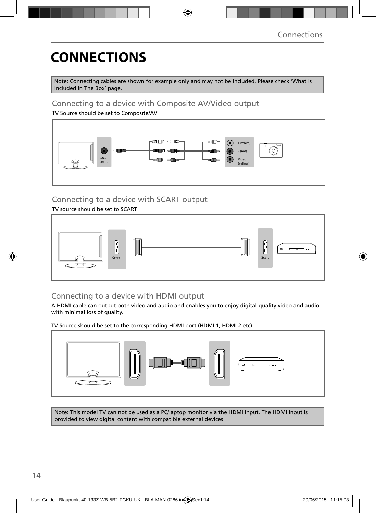# **CONNECTIONS**

Note: Connecting cables are shown for example only and may not be included. Please check 'What Is Included In The Box' page.

### Connecting to a device with Composite AV/Video output

TV Source should be set to Composite/AV



## Connecting to a device with SCART output

TV source should be set to SCART



## Connecting to a device with HDMI output

A HDMI cable can output both video and audio and enables you to enjoy digital-quality video and audio with minimal loss of quality.

TV Source should be set to the corresponding HDMI port (HDMI 1, HDMI 2 etc)



Note: This model TV can not be used as a PC/laptop monitor via the HDMI input. The HDMI Input is provided to view digital content with compatible external devices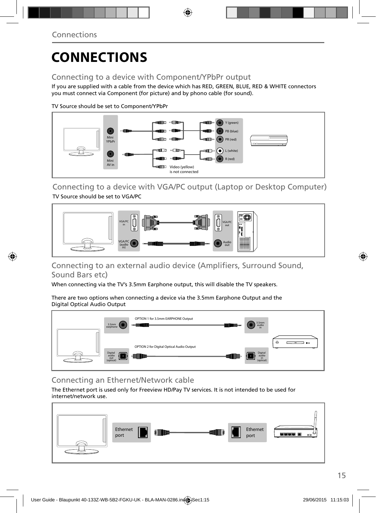## **CONNECTIONS**

### Connecting to a device with Component/YPbPr output

If you are supplied with a cable from the device which has RED, GREEN, BLUE, RED & WHITE connectors you must connect via Component (for picture) and by phono cable (for sound).

TV Source should be set to Component/YPbPr



Connecting to a device with VGA/PC output (Laptop or Desktop Computer) TV Source should be set to VGA/PC



### Connecting to an external audio device (Amplifiers, Surround Sound, Sound Bars etc)

When connecting via the TV's 3.5mm Earphone output, this will disable the TV speakers.

There are two options when connecting a device via the 3.5mm Earphone Output and the Digital Optical Audio Output



### Connecting an Ethernet/Network cable

The Ethernet port is used only for Freeview HD/Pay TV services. It is not intended to be used for internet/network use.

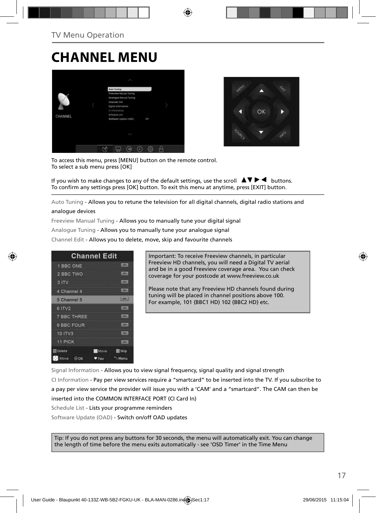## **CHANNEL MENU**





To access this menu, press [MENU] button on the remote control. To select a sub menu press [OK]

If you wish to make changes to any of the default settings, use the scroll  $\Delta \nabla \blacktriangleright$   $\blacktriangleleft$  buttons. To confirm any settings press [OK] button. To exit this menu at anytime, press [EXIT] button.

Auto Tuning - Allows you to retune the television for all digital channels, digital radio stations and

#### analogue devices

Freeview Manual Tuning - Allows you to manually tune your digital signal

Analogue Tuning - Allows you to manually tune your analogue signal

Channel Edit - Allows you to delete, move, skip and favourite channels

| <b>Channel Edit</b> |             |                |
|---------------------|-------------|----------------|
| 1 BBC ONE           |             | <b>LIBRARY</b> |
| 2 BBC TWO           |             |                |
| 3 ITV               |             | 1,0741         |
| 4 Channel 4         |             | <b>LOTAL</b>   |
| 5 Channel 5         |             | $5000 - 1$     |
| 6 ITV2              |             | 10000          |
| <b>7 BBC THREE</b>  |             | <b>LOTH</b>    |
| 9 BBC FOUR          |             | <b>DV</b>      |
| 10 ITV3             |             | <b>CONTI</b>   |
| 11 PICK             |             | <b>LOTAL</b>   |
| <b>Delete</b>       | <b>Move</b> | <b>Skip</b>    |
| Move<br>00K         | Fay         | Menu           |

Important: To receive Freeview channels, in particular Freeview HD channels, you will need a Digital TV aerial and be in a good Freeview coverage area. You can check coverage for your postcode at www.freeview.co.uk

Please note that any Freeview HD channels found during tuning will be placed in channel positions above 100. For example, 101 (BBC1 HD) 102 (BBC2 HD) etc.

Signal Information - Allows you to view signal frequency, signal quality and signal strength CI Information - Pay per view services require a "smartcard" to be inserted into the TV. If you subscribe to a pay per view service the provider will issue you with a 'CAM' and a "smartcard". The CAM can then be inserted into the COMMON INTERFACE PORT (CI Card In)

Schedule List - Lists your programme reminders

Software Update (OAD) - Switch on/off OAD updates

Tip: If you do not press any buttons for 30 seconds, the menu will automatically exit. You can change the length of time before the menu exits automatically - see 'OSD Timer' in the Time Menu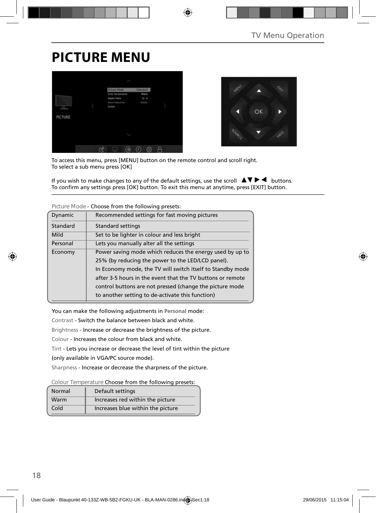## **PICTURE MENU**





To access this menu, press [MENU] button on the remote control and scroll right. To select a sub menu press [OK]

If you wish to make changes to any of the default settings, use the scroll  $\Box \blacktriangledown \blacktriangleright \blacktriangleleft$  buttons. To confirm any settings press [OK] button. To exit this menu at anytime, press [EXIT] button.

| Dynamic                                                             | Recommended settings for fast moving pictures              |
|---------------------------------------------------------------------|------------------------------------------------------------|
| Standard                                                            | <b>Standard settings</b>                                   |
| Mild                                                                | Set to be lighter in colour and less bright                |
| Personal                                                            | Lets you manually alter all the settings                   |
| Power saving mode which reduces the energy used by up to<br>Economy |                                                            |
|                                                                     | 25% (by reducing the power to the LED/LCD panel).          |
|                                                                     | In Economy mode, the TV will switch itself to Standby mode |
|                                                                     | after 3-5 hours in the event that the TV buttons or remote |
|                                                                     | control buttons are not pressed (change the picture mode   |
|                                                                     | to another setting to de-activate this function)           |

**Picture Mode** - Choose from the following presets:

You can make the following adjustments in **Personal** mode:

Contrast - Switch the balance between black and white.

Brightness - Increase or decrease the brightness of the picture.

Colour - Increases the colour from black and white.

Tint - Lets you increase or decrease the level of tint within the picture

(only available in VGA/PC source mode).

Sharpness - Increase or decrease the sharpness of the picture.

**Colour Temperature** Choose from the following presets:

| Normal | Default settings                  |
|--------|-----------------------------------|
| Warm   | Increases red within the picture  |
| Cold   | Increases blue within the picture |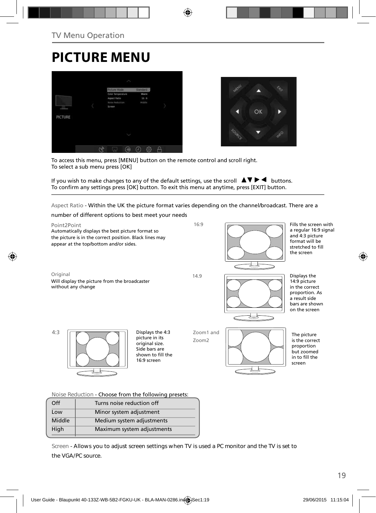## **PICTURE MENU**





To access this menu, press [MENU] button on the remote control and scroll right. To select a sub menu press [OK]

If you wish to make changes to any of the default settings, use the scroll  $\Delta \nabla \blacktriangleright$   $\blacktriangleleft$  buttons. To confirm any settings press [OK] button. To exit this menu at anytime, press [EXIT] button.

Aspect Ratio - Within the UK the picture format varies depending on the channel/broadcast. There are a



**Noise Reduction** - Choose from the following presets:

| Off    | Turns noise reduction off  |
|--------|----------------------------|
| Low    | Minor system adjustment    |
| Middle | Medium system adjustments  |
| High   | Maximum system adjustments |
|        |                            |

**Screen - Allows you to adjust screen settings when TV is used a PC monitor and the TV is set to the VGA/PC source.**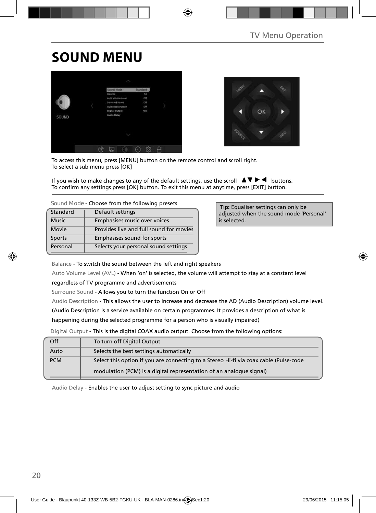## **SOUND MENU**





To access this menu, press [MENU] button on the remote control and scroll right. To select a sub menu press [OK]

If you wish to make changes to any of the default settings, use the scroll  $\blacktriangle \blacktriangledown \blacktriangleright \blacktriangleleft$  buttons. To confirm any settings press [OK] button. To exit this menu at anytime, press [EXIT] button.

| Standard     | Default settings                        |
|--------------|-----------------------------------------|
| <b>Music</b> | Emphasises music over voices            |
| Movie        | Provides live and full sound for movies |
| Sports       | Emphasises sound for sports             |
| Personal     | Selects your personal sound settings    |

 **Tip:** Equaliser settings can only be adjusted when the sound mode 'Personal' is selected.

Balance - To switch the sound between the left and right speakers

Auto Volume Level (AVL) - When 'on' is selected, the volume will attempt to stay at a constant level

regardless of TV programme and advertisements

Surround Sound - Allows you to turn the function On or Off

Audio Description - This allows the user to increase and decrease the AD (Audio Description) volume level.

(Audio Description is a service available on certain programmes. It provides a description of what is

happening during the selected programme for a person who is visually impaired)

Digital Output - This is the digital COAX audio output. Choose from the following options:

| Off        | To turn off Digital Output                                                            |
|------------|---------------------------------------------------------------------------------------|
| Auto       | Selects the best settings automatically                                               |
| <b>PCM</b> | Select this option if you are connecting to a Stereo Hi-fi via coax cable (Pulse-code |
|            | modulation (PCM) is a digital representation of an analogue signal)                   |

Audio Delay - Enables the user to adjust setting to sync picture and audio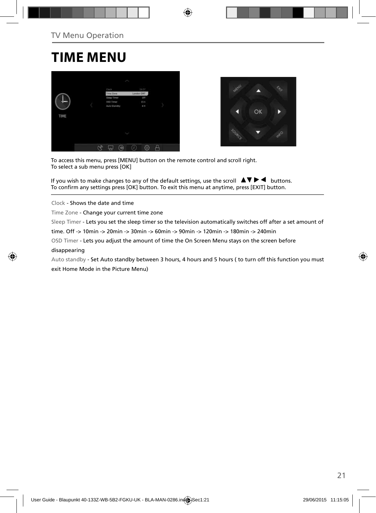## **TIME MENU**





To access this menu, press [MENU] button on the remote control and scroll right. To select a sub menu press [OK]

If you wish to make changes to any of the default settings, use the scroll  $\Box \blacktriangledown \blacktriangleright \blacktriangleleft$  buttons. To confirm any settings press [OK] button. To exit this menu at anytime, press [EXIT] button.

Clock - Shows the date and time

Time Zone - Change your current time zone

Sleep Timer - Lets you set the sleep timer so the television automatically switches off after a set amount of

time. Off -> 10min -> 20min -> 30min -> 60min -> 90min -> 120min -> 180min -> 240min

OSD Timer - Lets you adjust the amount of time the On Screen Menu stays on the screen before

#### disappearing

Auto standby - Set Auto standby between 3 hours, 4 hours and 5 hours ( to turn off this function you must exit Home Mode in the Picture Menu)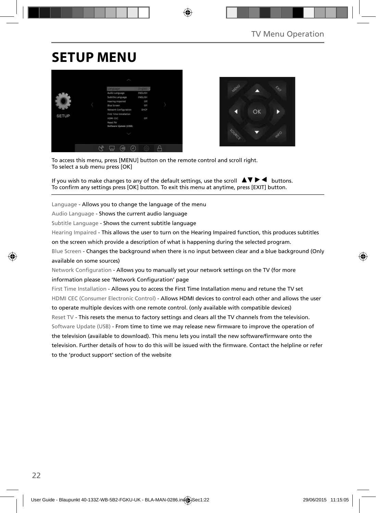## **SETUP MENU**





To access this menu, press [MENU] button on the remote control and scroll right. To select a sub menu press [OK]

If you wish to make changes to any of the default settings, use the scroll  $\Box \Box \blacktriangleright \blacktriangleleft$  buttons. To confirm any settings press [OK] button. To exit this menu at anytime, press [EXIT] button.

Language - Allows you to change the language of the menu

Audio Language - Shows the current audio language

Subtitle Language - Shows the current subtitle language

Hearing Impaired - This allows the user to turn on the Hearing Impaired function, this produces subtitles

on the screen which provide a description of what is happening during the selected program.

Blue Screen - Changes the background when there is no input between clear and a blue background (Only available on some sources)

Network Configuration - Allows you to manually set your network settings on the TV (for more information please see 'Network Configuration' page

First Time Installation - Allows you to access the First Time Installation menu and retune the TV set HDMI CEC (Consumer Electronic Control) - Allows HDMI devices to control each other and allows the user to operate multiple devices with one remote control. (only available with compatible devices) Reset TV - This resets the menus to factory settings and clears all the TV channels from the television. Software Update (USB) - From time to time we may release new firmware to improve the operation of the television (available to download). This menu lets you install the new software/firmware onto the television. Further details of how to do this will be issued with the firmware. Contact the helpline or refer to the 'product support' section of the website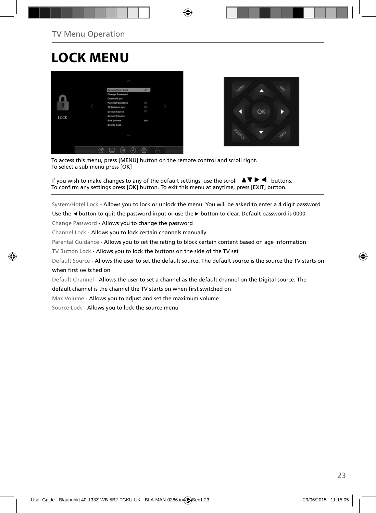## **LOCK MENU**





To access this menu, press [MENU] button on the remote control and scroll right. To select a sub menu press [OK]

If you wish to make changes to any of the default settings, use the scroll  $\Box \blacktriangledown \blacktriangleright \blacktriangleleft$  buttons. To confirm any settings press [OK] button. To exit this menu at anytime, press [EXIT] button.

System/Hotel Lock - Allows you to lock or unlock the menu. You will be asked to enter a 4 digit password

Use the **◄** button to quit the password input or use the **►** button to clear. Default password is 0000

Change Password - Allows you to change the password

Channel Lock - Allows you to lock certain channels manually

Parental Guidance - Allows you to set the rating to block certain content based on age information

TV Button Lock - Allows you to lock the buttons on the side of the TV set

Default Source - Allows the user to set the default source. The default source is the source the TV starts on when first switched on

Default Channel - Allows the user to set a channel as the default channel on the Digital source. The

default channel is the channel the TV starts on when first switched on

Max Volume - Allows you to adjust and set the maximum volume

Source Lock - Allows you to lock the source menu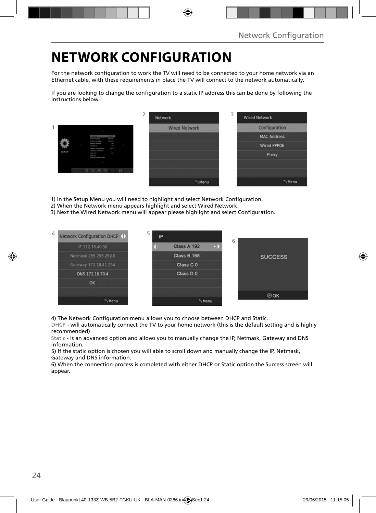## **NETWORK CONFIGURATION**

For the network configuration to work the TV will need to be connected to your home network via an Ethernet cable, with these requirements in place the TV will connect to the network automatically.

If you are looking to change the configuration to a static IP address this can be done by following the instructions below.

|       |                                                                                                                                                                                                | ∠ | Network              | 3 | <b>Wired Network</b> |
|-------|------------------------------------------------------------------------------------------------------------------------------------------------------------------------------------------------|---|----------------------|---|----------------------|
|       |                                                                                                                                                                                                |   | <b>Wired Network</b> |   | Configuration        |
|       | <b>COLOR</b><br><b><i><u>Andre Component</u></i></b><br><b>Security</b>                                                                                                                        |   |                      |   | <b>MAC Address</b>   |
|       | <b>Letteria</b> Language<br><b>Heating Program</b><br>×<br><b>But formed</b><br>m.<br>man.<br><b>Several Listapolism</b>                                                                       |   |                      |   | <b>Wired PPPOE</b>   |
| SETUP | ling Strainwaren<br>ł<br>$\frac{1}{2} \left( \frac{1}{2} \right) \left( \frac{1}{2} \right) \left( \frac{1}{2} \right) \left( \frac{1}{2} \right)$<br><b>Senat Die</b><br>Sollared Learn (218) |   |                      |   | Proxy                |
|       |                                                                                                                                                                                                |   |                      |   |                      |
|       | 0000                                                                                                                                                                                           |   |                      |   |                      |
|       |                                                                                                                                                                                                |   | Menu                 |   | "Menu                |

1) In the Setup Menu you will need to highlight and select Network Configuration.

- 2) When the Network menu appears highlight and select Wired Network.
- 3) Next the Wired Network menu will appear please highlight and select Configuration.



4) The Network Configuration menu allows you to choose between DHCP and Static.

DHCP - will automatically connect the TV to your home network (this is the default setting and is highly recommended)

Static - is an advanced option and allows you to manually change the IP, Netmask, Gateway and DNS information.

5) If the static option is chosen you will able to scroll down and manually change the IP, Netmask, Gateway and DNS information.

6) When the connection process is completed with either DHCP or Static option the Success screen will appear.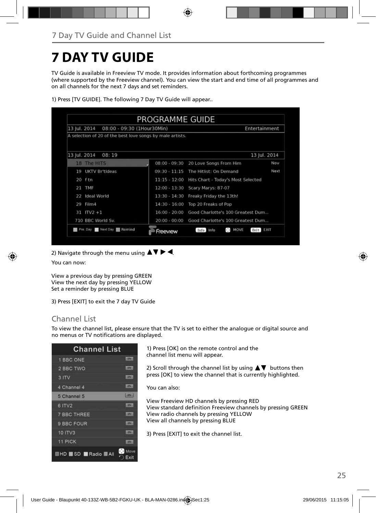## **7 DAY TV GUIDE**

TV Guide is available in Freeview TV mode. It provides information about forthcoming programmes (where supported by the Freeview channel). You can view the start and end time of all programmes and on all channels for the next 7 days and set reminders.

| 13 Iul. 2014<br>08:00 - 09:30 (1Hour30Min)                |                 | Entertainment                                  |              |  |
|-----------------------------------------------------------|-----------------|------------------------------------------------|--------------|--|
| A selection of 20 of the best love songs by male artists. |                 |                                                |              |  |
| 13 Jul. 2014<br>08:19                                     |                 |                                                | 13 Jul. 2014 |  |
| 18 The HITS                                               | $08:00 - 09:30$ | 20 Love Songs From Him                         | <b>Now</b>   |  |
| UKTV Britideas<br>19                                      | $09:30 - 11:15$ | The Hitlist: On Demand                         | Next         |  |
| 20 ftn                                                    | $11:15 - 12:00$ | Hits Chart - Today's Most Selected             |              |  |
| TMF<br>21                                                 | $12:00 - 13:30$ | Scary Marys: 87-07                             |              |  |
| <b>Ideal World</b><br>22                                  | $13:30 - 14:30$ | Freaky Friday the 13th!                        |              |  |
| Film4<br>29                                               | $14:30 - 16:00$ | Top 20 Freaks of Pop                           |              |  |
| $31$ ITV2 +1                                              | $16:00 - 20:00$ | Good Charlotte's 100 Greatest Dum              |              |  |
| 710 BBC World Sv.                                         | $20:00 - 00:00$ | Good Charlotte's 100 Greatest Dum              |              |  |
| Pre. Day Next Day <b>1 Remind</b>                         | Freeview        | $\mathcal{C} \rightarrow$<br>MOVE<br>Info Info | Exit EXII    |  |

1) Press [TV GUIDE]. The following 7 Day TV Guide will appear..

2) Navigate through the menu using  $\blacktriangle \blacktriangledown \blacktriangleright \blacktriangleleft$ .

You can now:

View a previous day by pressing GREEN View the next day by pressing YELLOW Set a reminder by pressing BLUE

3) Press [EXIT] to exit the 7 day TV Guide

### Channel List

To view the channel list, please ensure that the TV is set to either the analogue or digital source and no menus or TV notifications are displayed.

| <b>Channel List</b>           |                    |
|-------------------------------|--------------------|
| 1 BBC ONE                     | <b>LODGE</b>       |
| 2 BBC TWO                     | <b>LOTS</b>        |
| 3 ITV                         | <b>LOTAL</b>       |
| 4 Channel 4                   | 10N                |
| 5 Channel 5                   | <b>Hanks</b>       |
| 6 ITV2                        | <b>ISTAN</b>       |
| <b>7 BBC THREE</b>            | <b>CENT</b>        |
| 9 BBC FOUR                    | m                  |
| <b>10 ITV3</b>                | m                  |
| 11 PICK                       | m                  |
| <b>HD</b> SD <b>Radio</b> All | O.<br>Move<br>Exit |

1) Press [OK] on the remote control and the channel list menu will appear.

2) Scroll through the channel list by using  $\blacktriangle \blacktriangledown$  buttons then press [OK] to view the channel that is currently highlighted.

You can also:

View Freeview HD channels by pressing RED View standard definition Freeview channels by pressing GREEN View radio channels by pressing YELLOW View all channels by pressing BLUE

3) Press [EXIT] to exit the channel list.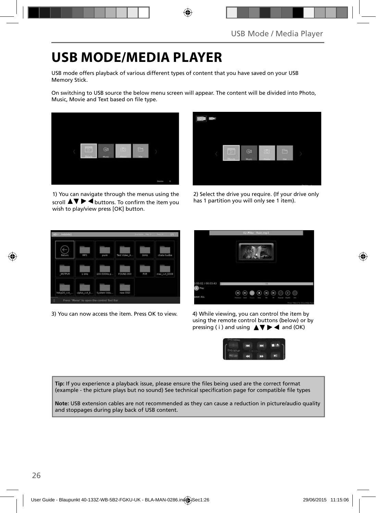## **USB MODE/MEDIA PLAYER**

USB mode offers playback of various different types of content that you have saved on your USB Memory Stick.

On switching to USB source the below menu screen will appear. The content will be divided into Photo, Music, Movie and Text based on file type.



1) You can navigate through the menus using the scroll  $\blacktriangle \blacktriangledown \blacktriangleright \blacktriangleleft$  buttons. To confirm the item you wish to play/view press [OK] button.



2) Select the drive you require. (If your drive only has 1 partition you will only see 1 item).



3) You can now access the item. Press OK to view. 4) While viewing, you can control the item by



using the remote control buttons (below) or by pressing ( i ) and using  $\triangle \blacktriangledown \blacktriangleright \blacktriangleleft$  and (OK)



Tip: If you experience a playback issue, please ensure the files being used are the correct format (example - the picture plays but no sound) See technical specification page for compatible file types

**Note:** USB extension cables are not recommended as they can cause a reduction in picture/audio quality and stoppages during play back of USB content.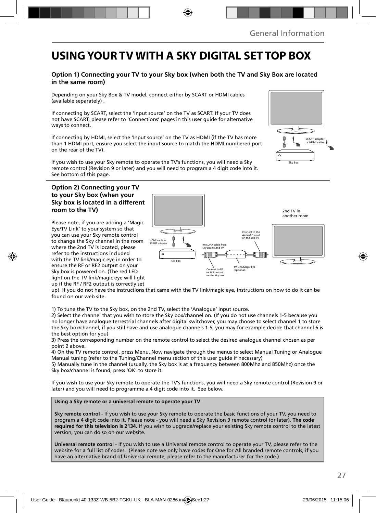## **USING YOUR TV WITH A SKY DIGITAL SET TOP BOX**

### **Option 1) Connecting your TV to your Sky box (when both the TV and Sky Box are located in the same room)**

Depending on your Sky Box & TV model, connect either by SCART or HDMI cables (available separately) .

If connecting by SCART, select the 'Input source' on the TV as SCART. If your TV does not have SCART, please refer to 'Connections' pages in this user guide for alternative ways to connect.

If connecting by HDMI, select the 'Input source' on the TV as HDMI (if the TV has more than 1 HDMI port, ensure you select the input source to match the HDMI numbered port on the rear of the TV).

If you wish to use your Sky remote to operate the TV's functions, you will need a Sky remote control (Revision 9 or later) and you will need to program a 4 digit code into it. See bottom of this page.

#### **Option 2) Connecting your TV to your Sky box (when your Sky box is located in a different room to the TV)**

Please note, if you are adding a 'Magic Eye/TV Link' to your system so that you can use your Sky remote control to change the Sky channel in the room where the 2nd TV is located, please refer to the instructions included with the TV link/magic eye in order to ensure the RF or RF2 output on your Sky box is powered on. (The red LED light on the TV link/magic eye will light up if the RF / RF2 output is correctly set



up) If you do not have the instructions that came with the TV link/magic eye, instructions on how to do it can be found on our web site.

1) To tune the TV to the Sky box, on the 2nd TV, select the 'Analogue' input source.

2) Select the channel that you wish to store the Sky box/channel on. (If you do not use channels 1-5 because you no longer have analogue terrestrial channels after digital switchover, you may choose to select channel 1 to store the Sky box/channel, if you still have and use analogue channels 1-5, you may for example decide that channel 6 is the best option for you)

3) Press the corresponding number on the remote control to select the desired analogue channel chosen as per point 2 above.

4) On the TV remote control, press Menu. Now navigate through the menus to select Manual Tuning or Analogue Manual tuning (refer to the Tuning/Channel menu section of this user guide if necessary)

5) Manually tune in the channel (usually, the Sky box is at a frequency between 800Mhz and 850Mhz) once the Sky box/channel is found, press 'OK' to store it.

If you wish to use your Sky remote to operate the TV's functions, you will need a Sky remote control (Revision 9 or later) and you will need to programme a 4 digit code into it. See below.

**Using a Sky remote or a universal remote to operate your TV** 

**Sky remote control** - If you wish to use your Sky remote to operate the basic functions of your TV, you need to program a 4 digit code into it. Please note - you will need a Sky Revision 9 remote control (or later). **The code required for this television is 2134.** If you wish to upgrade/replace your existing Sky remote control to the latest version, you can do so on our website.

**Universal remote control** - If you wish to use a Universal remote control to operate your TV, please refer to the website for a full list of codes. (Please note we only have codes for One for All branded remote controls, if you have an alternative brand of Universal remote, please refer to the manufacturer for the code.)

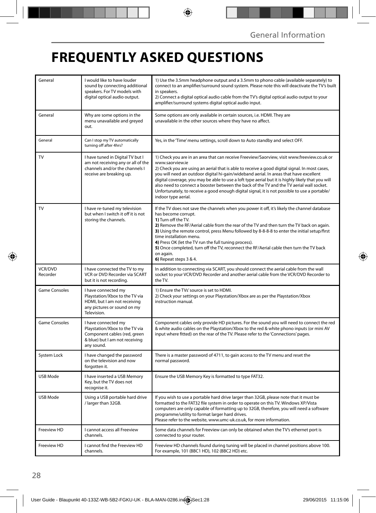## **FREQUENTLY ASKED QUESTIONS**

| General                    | I would like to have louder<br>sound by connecting additional<br>speakers. For TV models with<br>digital optical audio output.        | 1) Use the 3.5mm headphone output and a 3.5mm to phono cable (available separately) to<br>connect to an amplifier/surround sound system. Please note this will deactivate the TV's built<br>in speakers.<br>2) Connect a digital optical audio cable from the TV's digital optical audio output to your<br>amplifier/surround systems digital optical audio input.                                                                                                                                                                                                                                                                  |
|----------------------------|---------------------------------------------------------------------------------------------------------------------------------------|-------------------------------------------------------------------------------------------------------------------------------------------------------------------------------------------------------------------------------------------------------------------------------------------------------------------------------------------------------------------------------------------------------------------------------------------------------------------------------------------------------------------------------------------------------------------------------------------------------------------------------------|
| General                    | Why are some options in the<br>menu unavailable and greyed<br>out.                                                                    | Some options are only available in certain sources, i.e. HDMI. They are<br>unavailable in the other sources where they have no affect.                                                                                                                                                                                                                                                                                                                                                                                                                                                                                              |
| General                    | Can I stop my TV automatically<br>turning off after 4hrs?                                                                             | Yes, in the 'Time' menu settings, scroll down to Auto standby and select OFF.                                                                                                                                                                                                                                                                                                                                                                                                                                                                                                                                                       |
| TV                         | I have tuned in Digital TV but I<br>am not receiving any or all of the<br>channels and/or the channels I<br>receive are breaking up.  | 1) Check you are in an area that can receive Freeview/Saorview, visit www.freeview.co.uk or<br>www.saorview.ie<br>2) Check you are using an aerial that is able to receive a good digital signal. In most cases,<br>you will need an outdoor digital hi-gain/wideband aerial. In areas that have excellent<br>digital coverage, you may be able to use a loft type aerial but it is highly likely that you will<br>also need to connect a booster between the back of the TV and the TV aerial wall socket.<br>Unfortunately, to receive a good enough digital signal, it is not possible to use a portable/<br>indoor type aerial. |
| TV                         | I have re-tuned my television<br>but when I switch it off it is not<br>storing the channels.                                          | If the TV does not save the channels when you power it off, it's likely the channel database<br>has become corrupt.<br>1) Turn off the TV.<br>2) Remove the RF/Aerial cable from the rear of the TV and then turn the TV back on again.<br>3) Using the remote control, press Menu followed by 8-8-8-8 to enter the initial setup/first<br>time installation menu.<br>4) Press OK (let the TV run the full tuning process).<br>5) Once completed, turn off the TV, reconnect the RF/Aerial cable then turn the TV back<br>on again.<br>6) Repeat steps 3 & 4.                                                                       |
| <b>VCR/DVD</b><br>Recorder | I have connected the TV to my<br>VCR or DVD Recorder via SCART<br>but it is not recording.                                            | In addition to connecting via SCART, you should connect the aerial cable from the wall<br>socket to your VCR/DVD Recorder and another aerial cable from the VCR/DVD Recorder to<br>the TV.                                                                                                                                                                                                                                                                                                                                                                                                                                          |
| Game Consoles              | I have connected my<br>Playstation/Xbox to the TV via<br>HDMI, but I am not receiving<br>any pictures or sound on my<br>Television.   | 1) Ensure the TVs' source is set to HDMI.<br>2) Check your settings on your Playstation/Xbox are as per the Playstation/Xbox<br>instruction manual.                                                                                                                                                                                                                                                                                                                                                                                                                                                                                 |
| <b>Game Consoles</b>       | I have connected my<br>Playstation/Xbox to the TV via<br>Component cables (red, green<br>& blue) but I am not receiving<br>any sound. | Component cables only provide HD pictures. For the sound you will need to connect the red<br>& white audio cables on the Playstation/Xbox to the red & white phono inputs (or mini AV<br>input where fitted) on the rear of the TV. Please refer to the 'Connections' pages.                                                                                                                                                                                                                                                                                                                                                        |
| System Lock                | I have changed the password<br>on the television and now<br>forgotten it.                                                             | There is a master password of 4711, to gain access to the TV menu and reset the<br>normal password.                                                                                                                                                                                                                                                                                                                                                                                                                                                                                                                                 |
| <b>USB Mode</b>            | I have inserted a USB Memory<br>Key, but the TV does not<br>recognise it.                                                             | Ensure the USB Memory Key is formatted to type FAT32.                                                                                                                                                                                                                                                                                                                                                                                                                                                                                                                                                                               |
| USB Mode                   | Using a USB portable hard drive<br>/ larger than 32GB.                                                                                | If you wish to use a portable hard drive larger than 32GB, please note that it must be<br>formatted to the FAT32 file system in order to operate on this TV. Windows XP/Vista<br>computers are only capable of formatting up to 32GB, therefore, you will need a software<br>programme/utility to format larger hard drives.<br>Please refer to the website, www.umc-uk.co.uk, for more information.                                                                                                                                                                                                                                |
| Freeview HD                | I cannot access all Freeview<br>channels.                                                                                             | Some data channels for Freeview can only be obtained when the TV's ethernet port is<br>connected to your router.                                                                                                                                                                                                                                                                                                                                                                                                                                                                                                                    |
| Freeview HD                | I cannot find the Freeview HD<br>channels.                                                                                            | Freeview HD channels found during tuning will be placed in channel positions above 100.<br>For example, 101 (BBC1 HD), 102 (BBC2 HD) etc.                                                                                                                                                                                                                                                                                                                                                                                                                                                                                           |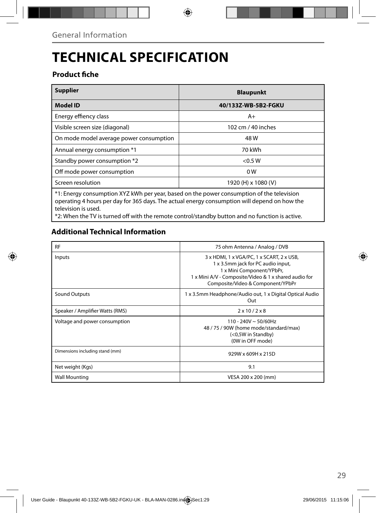## **TECHNICAL SPECIFICATION**

### **Product fiche**

| <b>Supplier</b>                                                                                                                                                                                                  | <b>Blaupunkt</b>    |  |  |
|------------------------------------------------------------------------------------------------------------------------------------------------------------------------------------------------------------------|---------------------|--|--|
| <b>Model ID</b>                                                                                                                                                                                                  | 40/133Z-WB-5B2-FGKU |  |  |
| Energy effiency class                                                                                                                                                                                            | $A+$                |  |  |
| Visible screen size (diagonal)                                                                                                                                                                                   | 102 cm / 40 inches  |  |  |
| On mode model average power consumption                                                                                                                                                                          | 48 W                |  |  |
| Annual energy consumption *1                                                                                                                                                                                     | 70 kWh              |  |  |
| Standby power consumption *2                                                                                                                                                                                     | < 0.5 W             |  |  |
| Off mode power consumption                                                                                                                                                                                       | 0 W                 |  |  |
| Screen resolution                                                                                                                                                                                                | 1920 (H) x 1080 (V) |  |  |
| *1: Energy consumption XYZ kWh per year, based on the power consumption of the television<br>operating 4 hours per day for 365 days. The actual energy consumption will depend on how the<br>television is used. |                     |  |  |

\*2: When the TV is turned off with the remote control/standby button and no function is active.

### **Additional Technical Information**

| <b>RF</b>                       | 75 ohm Antenna / Analog / DVB                                                                                                                                                                              |
|---------------------------------|------------------------------------------------------------------------------------------------------------------------------------------------------------------------------------------------------------|
| Inputs                          | 3 x HDMI, 1 x VGA/PC, 1 x SCART, 2 x USB,<br>1 x 3.5mm jack for PC audio input,<br>1 x Mini Component/YPbPr,<br>1 x Mini A/V - Composite/Video & 1 x shared audio for<br>Composite/Video & Component/YPbPr |
| <b>Sound Outputs</b>            | 1 x 3.5mm Headphone/Audio out, 1 x Digital Optical Audio<br>Out                                                                                                                                            |
| Speaker / Amplifier Watts (RMS) | $2 \times 10 / 2 \times 8$                                                                                                                                                                                 |
| Voltage and power consumption   | 110 - 240V ~ 50/60Hz<br>48 / 75 / 90W (home mode/standard/max)<br>(<0,5W in Standby)<br>(0W in OFF mode)                                                                                                   |
| Dimensions including stand (mm) | 929W x 609H x 215D                                                                                                                                                                                         |
| Net weight (Kgs)                | 9.1                                                                                                                                                                                                        |
| <b>Wall Mounting</b>            | VESA 200 x 200 (mm)                                                                                                                                                                                        |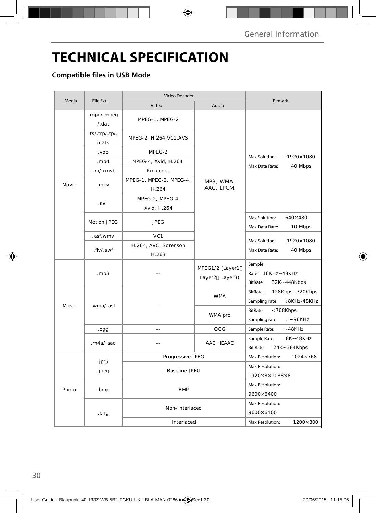## **TECHNICAL SPECIFICATION**

### **Compatible files in USB Mode**

| Media | File Ext.              | Video Decoder                    |                                   |                                                              |  |
|-------|------------------------|----------------------------------|-----------------------------------|--------------------------------------------------------------|--|
|       |                        | Video                            | Audio                             | Remark                                                       |  |
| Movie | .mpg/.mpeg<br>/.dat    | MPEG-1, MPEG-2                   |                                   |                                                              |  |
|       | .ts/.trp/.tp/.<br>m2ts | MPEG-2, H.264, VC1, AVS          |                                   | Max Solution:<br>1920×1080                                   |  |
|       | .vob                   | MPEG-2                           |                                   |                                                              |  |
|       | . $mp4$                | MPEG-4, Xvid, H.264              |                                   |                                                              |  |
|       | .rm/.rmvb              | Rm codec                         |                                   | Max Data Rate:<br>40 Mbps                                    |  |
|       | .mkv                   | MPEG-1, MPEG-2, MPEG-4,<br>H.264 | MP3, WMA,<br>AAC, LPCM,           |                                                              |  |
|       | .avi                   | MPEG-2, MPEG-4,<br>Xvid, H.264   |                                   |                                                              |  |
|       | <b>Motion JPEG</b>     | <b>JPEG</b>                      |                                   | Max Solution:<br>$640\times480$<br>Max Data Rate:<br>10 Mbps |  |
|       | .asf, wmv              | VC <sub>1</sub>                  |                                   |                                                              |  |
|       | .flv/.swf              | H.264, AVC, Sorenson<br>H.263    |                                   | Max Solution:<br>1920×1080<br>Max Data Rate:<br>40 Mbps      |  |
|       | mp3.                   |                                  | MPEG1/2 (Layer1<br>Layer2 Layer3) | Sample<br>Rate: 16KHz~48KHz<br>BitRate:<br>32K~448Kbps       |  |
|       | .wma/.asf              | $\overline{a}$                   | <b>WMA</b>                        | BitRate:<br>128Kbps~320Kbps<br>Sampling rate<br>:8KHz-48KHz  |  |
| Music |                        |                                  | WMA pro                           | BitRate:<br><768Kbps<br>Sampling rate<br>$: -96KHz$          |  |
|       | .ogg                   | $-$                              | OGG                               | Sample Rate:<br>$~-48$ KHz                                   |  |
|       | .m4a/aac               | $\overline{a}$                   | AAC HEAAC                         | 8K~48KHz<br>Sample Rate:<br><b>Bit Rate:</b><br>24K~384Kbps  |  |
|       |                        | Progressive JPEG                 |                                   | Max Resolution:<br>$1024 \times 768$                         |  |
| Photo | .jpg/<br>.jpeg         | Baseline JPEG                    |                                   | Max Resolution:                                              |  |
|       |                        |                                  |                                   | $1920\times8\times1088\times8$                               |  |
|       | .bmp                   | <b>BMP</b>                       |                                   | Max Resolution:<br>$9600 \times 6400$                        |  |
|       | .png                   | Non-Interlaced                   |                                   | Max Resolution:<br>9600×6400                                 |  |
|       |                        | Interlaced                       |                                   | 1200×800<br>Max Resolution:                                  |  |